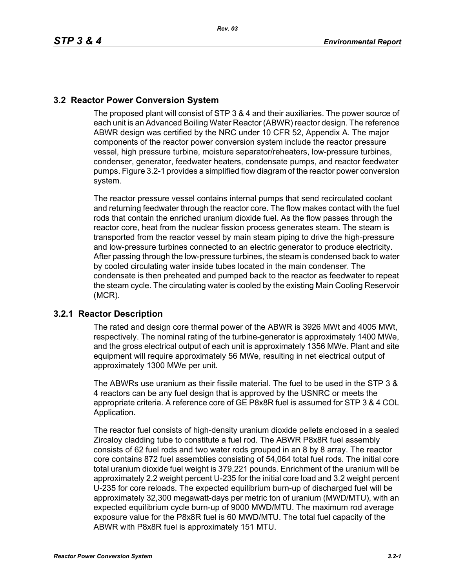## **3.2 Reactor Power Conversion System**

The proposed plant will consist of STP 3 & 4 and their auxiliaries. The power source of each unit is an Advanced Boiling Water Reactor (ABWR) reactor design. The reference ABWR design was certified by the NRC under 10 CFR 52, Appendix A. The major components of the reactor power conversion system include the reactor pressure vessel, high pressure turbine, moisture separator/reheaters, low-pressure turbines, condenser, generator, feedwater heaters, condensate pumps, and reactor feedwater pumps. Figure 3.2-1 provides a simplified flow diagram of the reactor power conversion system.

The reactor pressure vessel contains internal pumps that send recirculated coolant and returning feedwater through the reactor core. The flow makes contact with the fuel rods that contain the enriched uranium dioxide fuel. As the flow passes through the reactor core, heat from the nuclear fission process generates steam. The steam is transported from the reactor vessel by main steam piping to drive the high-pressure and low-pressure turbines connected to an electric generator to produce electricity. After passing through the low-pressure turbines, the steam is condensed back to water by cooled circulating water inside tubes located in the main condenser. The condensate is then preheated and pumped back to the reactor as feedwater to repeat the steam cycle. The circulating water is cooled by the existing Main Cooling Reservoir (MCR).

## **3.2.1 Reactor Description**

The rated and design core thermal power of the ABWR is 3926 MWt and 4005 MWt, respectively. The nominal rating of the turbine-generator is approximately 1400 MWe, and the gross electrical output of each unit is approximately 1356 MWe. Plant and site equipment will require approximately 56 MWe, resulting in net electrical output of approximately 1300 MWe per unit.

The ABWRs use uranium as their fissile material. The fuel to be used in the STP 3 & 4 reactors can be any fuel design that is approved by the USNRC or meets the appropriate criteria. A reference core of GE P8x8R fuel is assumed for STP 3 & 4 COL Application.

The reactor fuel consists of high-density uranium dioxide pellets enclosed in a sealed Zircaloy cladding tube to constitute a fuel rod. The ABWR P8x8R fuel assembly consists of 62 fuel rods and two water rods grouped in an 8 by 8 array. The reactor core contains 872 fuel assemblies consisting of 54,064 total fuel rods. The initial core total uranium dioxide fuel weight is 379,221 pounds. Enrichment of the uranium will be approximately 2.2 weight percent U-235 for the initial core load and 3.2 weight percent U-235 for core reloads. The expected equilibrium burn-up of discharged fuel will be approximately 32,300 megawatt-days per metric ton of uranium (MWD/MTU), with an expected equilibrium cycle burn-up of 9000 MWD/MTU. The maximum rod average exposure value for the P8x8R fuel is 60 MWD/MTU. The total fuel capacity of the ABWR with P8x8R fuel is approximately 151 MTU.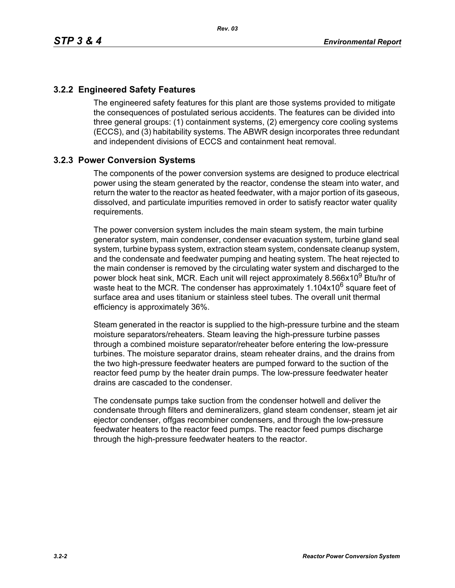## **3.2.2 Engineered Safety Features**

The engineered safety features for this plant are those systems provided to mitigate the consequences of postulated serious accidents. The features can be divided into three general groups: (1) containment systems, (2) emergency core cooling systems (ECCS), and (3) habitability systems. The ABWR design incorporates three redundant and independent divisions of ECCS and containment heat removal.

## **3.2.3 Power Conversion Systems**

The components of the power conversion systems are designed to produce electrical power using the steam generated by the reactor, condense the steam into water, and return the water to the reactor as heated feedwater, with a major portion of its gaseous, dissolved, and particulate impurities removed in order to satisfy reactor water quality requirements.

The power conversion system includes the main steam system, the main turbine generator system, main condenser, condenser evacuation system, turbine gland seal system, turbine bypass system, extraction steam system, condensate cleanup system, and the condensate and feedwater pumping and heating system. The heat rejected to the main condenser is removed by the circulating water system and discharged to the power block heat sink, MCR. Each unit will reject approximately 8.566x10<sup>9</sup> Btu/hr of waste heat to the MCR. The condenser has approximately  $1.104x10^6$  square feet of surface area and uses titanium or stainless steel tubes. The overall unit thermal efficiency is approximately 36%.

Steam generated in the reactor is supplied to the high-pressure turbine and the steam moisture separators/reheaters. Steam leaving the high-pressure turbine passes through a combined moisture separator/reheater before entering the low-pressure turbines. The moisture separator drains, steam reheater drains, and the drains from the two high-pressure feedwater heaters are pumped forward to the suction of the reactor feed pump by the heater drain pumps. The low-pressure feedwater heater drains are cascaded to the condenser.

The condensate pumps take suction from the condenser hotwell and deliver the condensate through filters and demineralizers, gland steam condenser, steam jet air ejector condenser, offgas recombiner condensers, and through the low-pressure feedwater heaters to the reactor feed pumps. The reactor feed pumps discharge through the high-pressure feedwater heaters to the reactor.